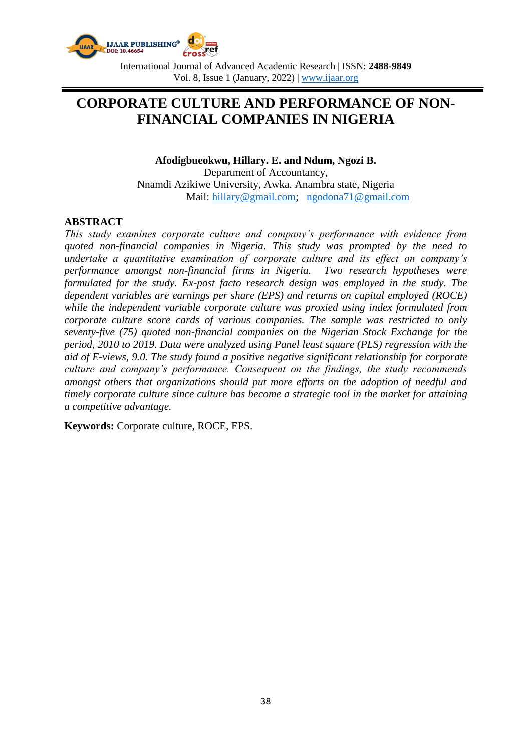

International Journal of Advanced Academic Research | ISSN: **2488-9849** Vol. 8, Issue 1 (January, 2022) | www.ijaar.org

# **CORPORATE CULTURE AND PERFORMANCE OF NON-FINANCIAL COMPANIES IN NIGERIA**

**Afodigbueokwu, Hillary. E. and Ndum, Ngozi B.** Department of Accountancy, Nnamdi Azikiwe University, Awka. Anambra state, Nigeria Mail: [hillary@gmail.com;](mailto:hillary@gmail.com) [ngodona71@gmail.com](mailto:ngodona71@gmail.com)

#### **ABSTRACT**

*This study examines corporate culture and company's performance with evidence from quoted non-financial companies in Nigeria. This study was prompted by the need to undertake a quantitative examination of corporate culture and its effect on company's performance amongst non-financial firms in Nigeria. Two research hypotheses were formulated for the study. Ex-post facto research design was employed in the study. The dependent variables are earnings per share (EPS) and returns on capital employed (ROCE) while the independent variable corporate culture was proxied using index formulated from corporate culture score cards of various companies. The sample was restricted to only seventy-five (75) quoted non-financial companies on the Nigerian Stock Exchange for the period, 2010 to 2019. Data were analyzed using Panel least square (PLS) regression with the aid of E-views, 9.0. The study found a positive negative significant relationship for corporate culture and company's performance. Consequent on the findings, the study recommends amongst others that organizations should put more efforts on the adoption of needful and timely corporate culture since culture has become a strategic tool in the market for attaining a competitive advantage.*

**Keywords:** Corporate culture, ROCE, EPS.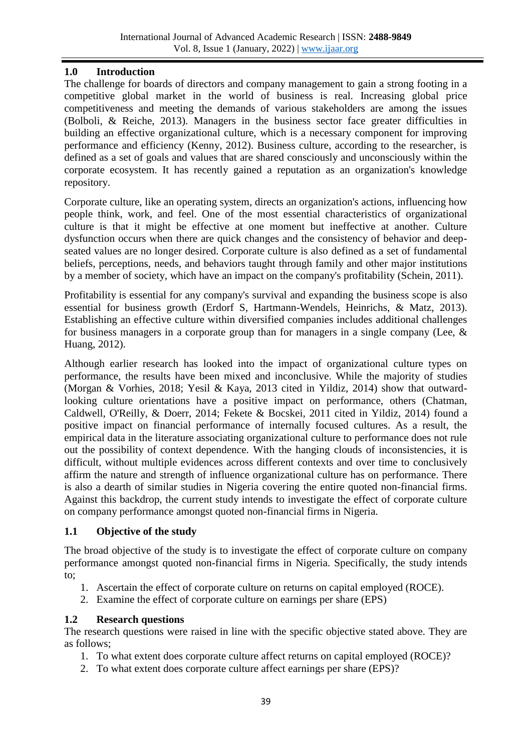# **1.0 Introduction**

The challenge for boards of directors and company management to gain a strong footing in a competitive global market in the world of business is real. Increasing global price competitiveness and meeting the demands of various stakeholders are among the issues (Bolboli, & Reiche, 2013). Managers in the business sector face greater difficulties in building an effective organizational culture, which is a necessary component for improving performance and efficiency (Kenny, 2012). Business culture, according to the researcher, is defined as a set of goals and values that are shared consciously and unconsciously within the corporate ecosystem. It has recently gained a reputation as an organization's knowledge repository.

Corporate culture, like an operating system, directs an organization's actions, influencing how people think, work, and feel. One of the most essential characteristics of organizational culture is that it might be effective at one moment but ineffective at another. Culture dysfunction occurs when there are quick changes and the consistency of behavior and deepseated values are no longer desired. Corporate culture is also defined as a set of fundamental beliefs, perceptions, needs, and behaviors taught through family and other major institutions by a member of society, which have an impact on the company's profitability (Schein, 2011).

Profitability is essential for any company's survival and expanding the business scope is also essential for business growth (Erdorf S, Hartmann-Wendels, Heinrichs, & Matz, 2013). Establishing an effective culture within diversified companies includes additional challenges for business managers in a corporate group than for managers in a single company (Lee,  $\&$ Huang, 2012).

Although earlier research has looked into the impact of organizational culture types on performance, the results have been mixed and inconclusive. While the majority of studies (Morgan & Vorhies, 2018; Yesil & Kaya, 2013 cited in Yildiz, 2014) show that outwardlooking culture orientations have a positive impact on performance, others (Chatman, Caldwell, O'Reilly, & Doerr, 2014; Fekete & Bocskei, 2011 cited in Yildiz, 2014) found a positive impact on financial performance of internally focused cultures. As a result, the empirical data in the literature associating organizational culture to performance does not rule out the possibility of context dependence. With the hanging clouds of inconsistencies, it is difficult, without multiple evidences across different contexts and over time to conclusively affirm the nature and strength of influence organizational culture has on performance. There is also a dearth of similar studies in Nigeria covering the entire quoted non-financial firms. Against this backdrop, the current study intends to investigate the effect of corporate culture on company performance amongst quoted non-financial firms in Nigeria.

#### **1.1 Objective of the study**

The broad objective of the study is to investigate the effect of corporate culture on company performance amongst quoted non-financial firms in Nigeria. Specifically, the study intends to;

- 1. Ascertain the effect of corporate culture on returns on capital employed (ROCE).
- 2. Examine the effect of corporate culture on earnings per share (EPS)

#### **1.2 Research questions**

The research questions were raised in line with the specific objective stated above. They are as follows;

- 1. To what extent does corporate culture affect returns on capital employed (ROCE)?
- 2. To what extent does corporate culture affect earnings per share (EPS)?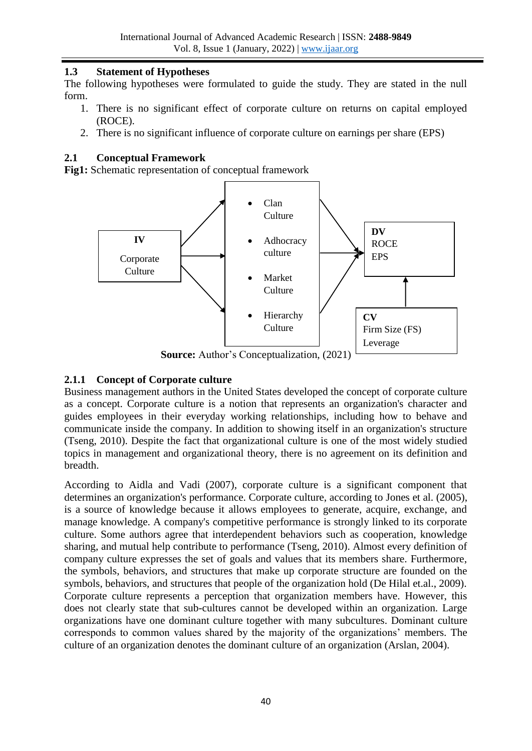# **1.3 Statement of Hypotheses**

The following hypotheses were formulated to guide the study. They are stated in the null form.

- 1. There is no significant effect of corporate culture on returns on capital employed (ROCE).
- 2. There is no significant influence of corporate culture on earnings per share (EPS)

## **2.1 Conceptual Framework**

**Fig1:** Schematic representation of conceptual framework



**Source:** Author's Conceptualization, (2021)

# **2.1.1 Concept of Corporate culture**

Business management authors in the United States developed the concept of corporate culture as a concept. Corporate culture is a notion that represents an organization's character and guides employees in their everyday working relationships, including how to behave and communicate inside the company. In addition to showing itself in an organization's structure (Tseng, 2010). Despite the fact that organizational culture is one of the most widely studied topics in management and organizational theory, there is no agreement on its definition and breadth.

According to Aidla and Vadi (2007), corporate culture is a significant component that determines an organization's performance. Corporate culture, according to Jones et al. (2005), is a source of knowledge because it allows employees to generate, acquire, exchange, and manage knowledge. A company's competitive performance is strongly linked to its corporate culture. Some authors agree that interdependent behaviors such as cooperation, knowledge sharing, and mutual help contribute to performance (Tseng, 2010). Almost every definition of company culture expresses the set of goals and values that its members share. Furthermore, the symbols, behaviors, and structures that make up corporate structure are founded on the symbols, behaviors, and structures that people of the organization hold (De Hilal et.al., 2009). Corporate culture represents a perception that organization members have. However, this does not clearly state that sub-cultures cannot be developed within an organization. Large organizations have one dominant culture together with many subcultures. Dominant culture corresponds to common values shared by the majority of the organizations' members. The culture of an organization denotes the dominant culture of an organization (Arslan, 2004).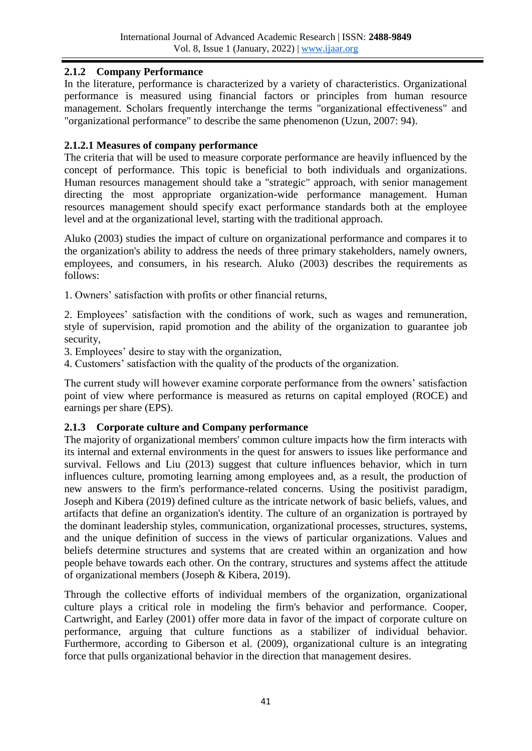# **2.1.2 Company Performance**

In the literature, performance is characterized by a variety of characteristics. Organizational performance is measured using financial factors or principles from human resource management. Scholars frequently interchange the terms "organizational effectiveness" and "organizational performance" to describe the same phenomenon (Uzun, 2007: 94).

## **2.1.2.1 Measures of company performance**

The criteria that will be used to measure corporate performance are heavily influenced by the concept of performance. This topic is beneficial to both individuals and organizations. Human resources management should take a "strategic" approach, with senior management directing the most appropriate organization-wide performance management. Human resources management should specify exact performance standards both at the employee level and at the organizational level, starting with the traditional approach.

Aluko (2003) studies the impact of culture on organizational performance and compares it to the organization's ability to address the needs of three primary stakeholders, namely owners, employees, and consumers, in his research. Aluko (2003) describes the requirements as follows:

1. Owners' satisfaction with profits or other financial returns,

2. Employees' satisfaction with the conditions of work, such as wages and remuneration, style of supervision, rapid promotion and the ability of the organization to guarantee job security,

3. Employees' desire to stay with the organization,

4. Customers' satisfaction with the quality of the products of the organization.

The current study will however examine corporate performance from the owners' satisfaction point of view where performance is measured as returns on capital employed (ROCE) and earnings per share (EPS).

# **2.1.3 Corporate culture and Company performance**

The majority of organizational members' common culture impacts how the firm interacts with its internal and external environments in the quest for answers to issues like performance and survival. Fellows and Liu (2013) suggest that culture influences behavior, which in turn influences culture, promoting learning among employees and, as a result, the production of new answers to the firm's performance-related concerns. Using the positivist paradigm, Joseph and Kibera (2019) defined culture as the intricate network of basic beliefs, values, and artifacts that define an organization's identity. The culture of an organization is portrayed by the dominant leadership styles, communication, organizational processes, structures, systems, and the unique definition of success in the views of particular organizations. Values and beliefs determine structures and systems that are created within an organization and how people behave towards each other. On the contrary, structures and systems affect the attitude of organizational members (Joseph & Kibera, 2019).

Through the collective efforts of individual members of the organization, organizational culture plays a critical role in modeling the firm's behavior and performance. Cooper, Cartwright, and Earley (2001) offer more data in favor of the impact of corporate culture on performance, arguing that culture functions as a stabilizer of individual behavior. Furthermore, according to Giberson et al. (2009), organizational culture is an integrating force that pulls organizational behavior in the direction that management desires.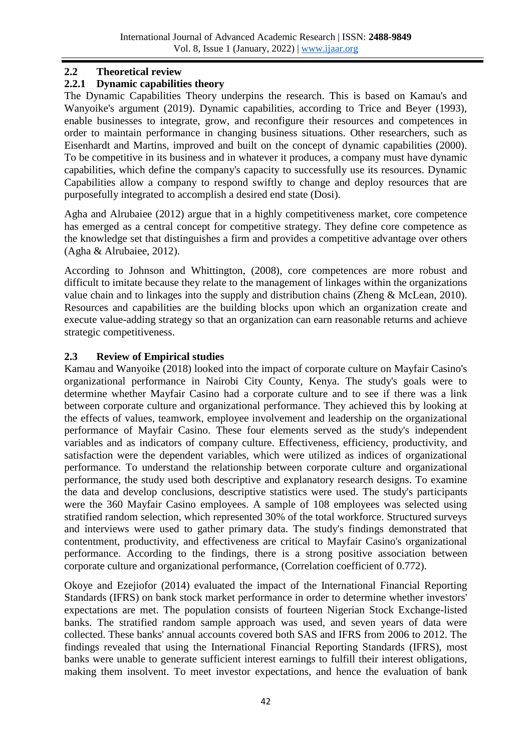## **2.2 Theoretical review**

# **2.2.1 Dynamic capabilities theory**

The Dynamic Capabilities Theory underpins the research. This is based on Kamau's and Wanyoike's argument (2019). Dynamic capabilities, according to Trice and Beyer (1993), enable businesses to integrate, grow, and reconfigure their resources and competences in order to maintain performance in changing business situations. Other researchers, such as Eisenhardt and Martins, improved and built on the concept of dynamic capabilities (2000). To be competitive in its business and in whatever it produces, a company must have dynamic capabilities, which define the company's capacity to successfully use its resources. Dynamic Capabilities allow a company to respond swiftly to change and deploy resources that are purposefully integrated to accomplish a desired end state (Dosi).

Agha and Alrubaiee (2012) argue that in a highly competitiveness market, core competence has emerged as a central concept for competitive strategy. They define core competence as the knowledge set that distinguishes a firm and provides a competitive advantage over others (Agha & Alrubaiee, 2012).

According to Johnson and Whittington, (2008), core competences are more robust and difficult to imitate because they relate to the management of linkages within the organizations value chain and to linkages into the supply and distribution chains (Zheng & McLean, 2010). Resources and capabilities are the building blocks upon which an organization create and execute value-adding strategy so that an organization can earn reasonable returns and achieve strategic competitiveness.

# **2.3 Review of Empirical studies**

Kamau and Wanyoike (2018) looked into the impact of corporate culture on Mayfair Casino's organizational performance in Nairobi City County, Kenya. The study's goals were to determine whether Mayfair Casino had a corporate culture and to see if there was a link between corporate culture and organizational performance. They achieved this by looking at the effects of values, teamwork, employee involvement and leadership on the organizational performance of Mayfair Casino. These four elements served as the study's independent variables and as indicators of company culture. Effectiveness, efficiency, productivity, and satisfaction were the dependent variables, which were utilized as indices of organizational performance. To understand the relationship between corporate culture and organizational performance, the study used both descriptive and explanatory research designs. To examine the data and develop conclusions, descriptive statistics were used. The study's participants were the 360 Mayfair Casino employees. A sample of 108 employees was selected using stratified random selection, which represented 30% of the total workforce. Structured surveys and interviews were used to gather primary data. The study's findings demonstrated that contentment, productivity, and effectiveness are critical to Mayfair Casino's organizational performance. According to the findings, there is a strong positive association between corporate culture and organizational performance, (Correlation coefficient of 0.772).

Okoye and Ezejiofor (2014) evaluated the impact of the International Financial Reporting Standards (IFRS) on bank stock market performance in order to determine whether investors' expectations are met. The population consists of fourteen Nigerian Stock Exchange-listed banks. The stratified random sample approach was used, and seven years of data were collected. These banks' annual accounts covered both SAS and IFRS from 2006 to 2012. The findings revealed that using the International Financial Reporting Standards (IFRS), most banks were unable to generate sufficient interest earnings to fulfill their interest obligations, making them insolvent. To meet investor expectations, and hence the evaluation of bank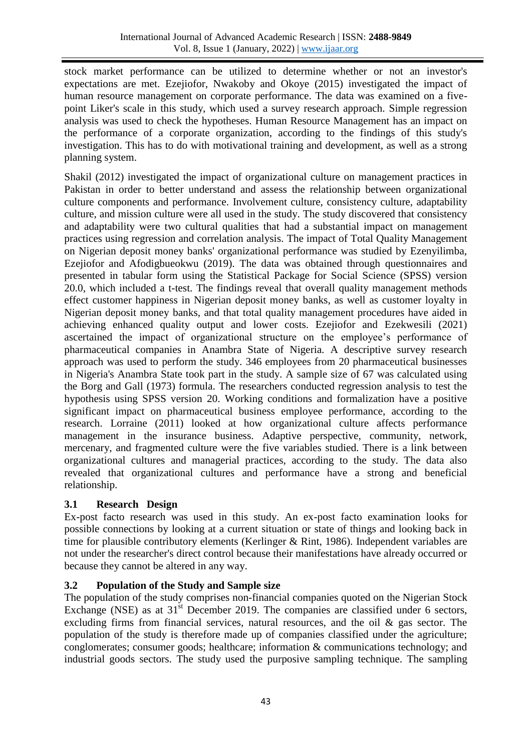stock market performance can be utilized to determine whether or not an investor's expectations are met. Ezejiofor, Nwakoby and Okoye (2015) investigated the impact of human resource management on corporate performance. The data was examined on a fivepoint Liker's scale in this study, which used a survey research approach. Simple regression analysis was used to check the hypotheses. Human Resource Management has an impact on the performance of a corporate organization, according to the findings of this study's investigation. This has to do with motivational training and development, as well as a strong planning system.

Shakil (2012) investigated the impact of organizational culture on management practices in Pakistan in order to better understand and assess the relationship between organizational culture components and performance. Involvement culture, consistency culture, adaptability culture, and mission culture were all used in the study. The study discovered that consistency and adaptability were two cultural qualities that had a substantial impact on management practices using regression and correlation analysis. The impact of Total Quality Management on Nigerian deposit money banks' organizational performance was studied by Ezenyilimba, Ezejiofor and Afodigbueokwu (2019). The data was obtained through questionnaires and presented in tabular form using the Statistical Package for Social Science (SPSS) version 20.0, which included a t-test. The findings reveal that overall quality management methods effect customer happiness in Nigerian deposit money banks, as well as customer loyalty in Nigerian deposit money banks, and that total quality management procedures have aided in achieving enhanced quality output and lower costs. Ezejiofor and Ezekwesili (2021) ascertained the impact of organizational structure on the employee's performance of pharmaceutical companies in Anambra State of Nigeria. A descriptive survey research approach was used to perform the study. 346 employees from 20 pharmaceutical businesses in Nigeria's Anambra State took part in the study. A sample size of 67 was calculated using the Borg and Gall (1973) formula. The researchers conducted regression analysis to test the hypothesis using SPSS version 20. Working conditions and formalization have a positive significant impact on pharmaceutical business employee performance, according to the research. Lorraine (2011) looked at how organizational culture affects performance management in the insurance business. Adaptive perspective, community, network, mercenary, and fragmented culture were the five variables studied. There is a link between organizational cultures and managerial practices, according to the study. The data also revealed that organizational cultures and performance have a strong and beneficial relationship.

#### **3.1 Research Design**

Ex-post facto research was used in this study. An ex-post facto examination looks for possible connections by looking at a current situation or state of things and looking back in time for plausible contributory elements (Kerlinger & Rint, 1986). Independent variables are not under the researcher's direct control because their manifestations have already occurred or because they cannot be altered in any way.

# **3.2 Population of the Study and Sample size**

The population of the study comprises non-financial companies quoted on the Nigerian Stock Exchange (NSE) as at 31<sup>st</sup> December 2019. The companies are classified under 6 sectors, excluding firms from financial services, natural resources, and the oil & gas sector. The population of the study is therefore made up of companies classified under the agriculture; conglomerates; consumer goods; healthcare; information & communications technology; and industrial goods sectors. The study used the purposive sampling technique. The sampling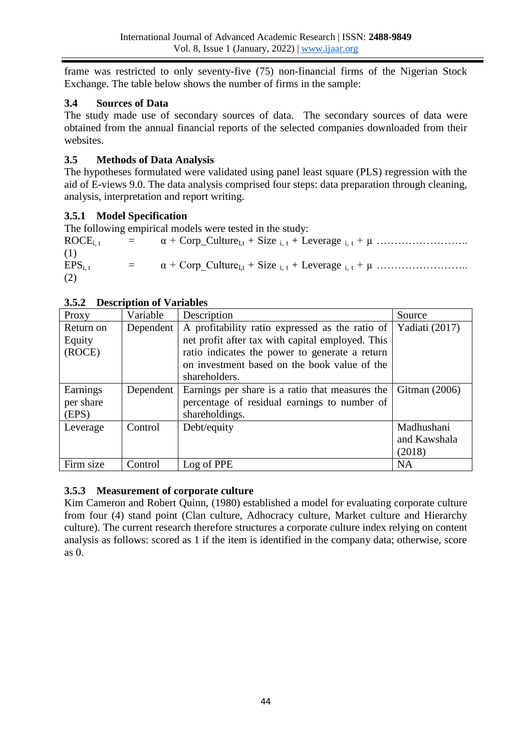frame was restricted to only seventy-five (75) non-financial firms of the Nigerian Stock Exchange. The table below shows the number of firms in the sample:

## **3.4 Sources of Data**

The study made use of secondary sources of data. The secondary sources of data were obtained from the annual financial reports of the selected companies downloaded from their websites.

# **3.5 Methods of Data Analysis**

The hypotheses formulated were validated using panel least square (PLS) regression with the aid of E-views 9.0. The data analysis comprised four steps: data preparation through cleaning, analysis, interpretation and report writing.

# **3.5.1 Model Specification**

The following empirical models were tested in the study:

ROCEi, t = α + Corp\_CultureI,t + Size i, t + Leverage i, t + µ …………………….. (1) EPSi, t = α + Corp\_CultureI,t + Size i, t + Leverage i, t + µ …………………….. (2)

| Proxy                          | Variable  | Description                                                                                                                                                                                                            | Source                               |
|--------------------------------|-----------|------------------------------------------------------------------------------------------------------------------------------------------------------------------------------------------------------------------------|--------------------------------------|
| Return on<br>Equity<br>(ROCE)  | Dependent | A profitability ratio expressed as the ratio of<br>net profit after tax with capital employed. This<br>ratio indicates the power to generate a return<br>on investment based on the book value of the<br>shareholders. | Yadiati (2017)                       |
| Earnings<br>per share<br>(EPS) | Dependent | Earnings per share is a ratio that measures the<br>percentage of residual earnings to number of<br>shareholdings.                                                                                                      | Gitman $(2006)$                      |
| Leverage                       | Control   | Debt/equity                                                                                                                                                                                                            | Madhushani<br>and Kawshala<br>(2018) |
| Firm size                      | Control   | Log of PPE                                                                                                                                                                                                             | <b>NA</b>                            |

#### **3.5.2 Description of Variables**

# **3.5.3 Measurement of corporate culture**

Kim Cameron and Robert Quinn, (1980) established a model for evaluating corporate culture from four (4) stand point (Clan culture, Adhocracy culture, Market culture and Hierarchy culture). The current research therefore structures a corporate culture index relying on content analysis as follows: scored as 1 if the item is identified in the company data; otherwise, score as 0.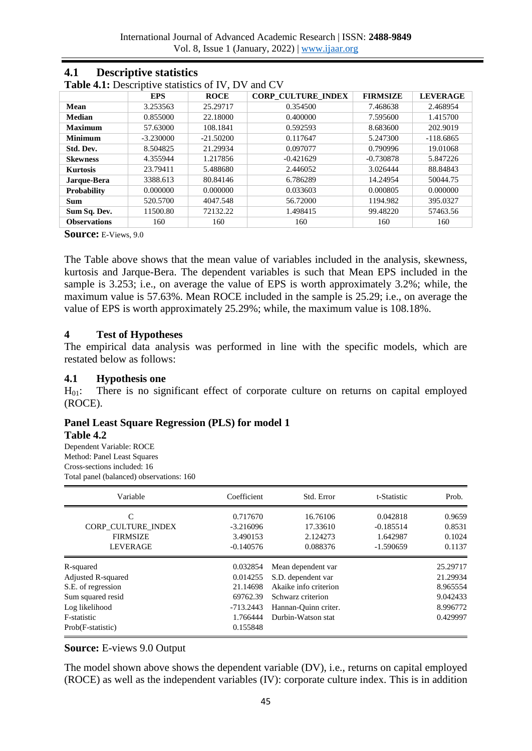| <b>Table 4.1:</b> Descriptive statistics of IV, DV<br>and CV |             |             |                           |                 |                 |  |
|--------------------------------------------------------------|-------------|-------------|---------------------------|-----------------|-----------------|--|
|                                                              | <b>EPS</b>  | <b>ROCE</b> | <b>CORP CULTURE INDEX</b> | <b>FIRMSIZE</b> | <b>LEVERAGE</b> |  |
| Mean                                                         | 3.253563    | 25.29717    | 0.354500                  | 7.468638        | 2.468954        |  |
| <b>Median</b>                                                | 0.855000    | 22.18000    | 0.400000                  | 7.595600        | 1.415700        |  |
| <b>Maximum</b>                                               | 57.63000    | 108.1841    | 0.592593                  | 8.683600        | 202.9019        |  |
| <b>Minimum</b>                                               | $-3.230000$ | $-21.50200$ | 0.117647                  | 5.247300        | $-118.6865$     |  |
| Std. Dev.                                                    | 8.504825    | 21.29934    | 0.097077                  | 0.790996        | 19.01068        |  |
| <b>Skewness</b>                                              | 4.355944    | 1.217856    | $-0.421629$               | $-0.730878$     | 5.847226        |  |
| <b>Kurtosis</b>                                              | 23.79411    | 5.488680    | 2.446052                  | 3.026444        | 88.84843        |  |
| Jarque-Bera                                                  | 3388.613    | 80.84146    | 6.786289                  | 14.24954        | 50044.75        |  |
| Probability                                                  | 0.000000    | 0.000000    | 0.033603                  | 0.000805        | 0.000000        |  |
| <b>Sum</b>                                                   | 520.5700    | 4047.548    | 56.72000                  | 1194.982        | 395.0327        |  |
| Sum Sq. Dev.                                                 | 11500.80    | 72132.22    | 1.498415                  | 99.48220        | 57463.56        |  |
| <b>Observations</b>                                          | 160         | 160         | 160                       | 160             | 160             |  |

## **4.1 Descriptive statistics**

**Table 4.1:** Descriptive statistics of IV, DV and CV

**Source:** E-Views, 9.0

The Table above shows that the mean value of variables included in the analysis, skewness, kurtosis and Jarque-Bera. The dependent variables is such that Mean EPS included in the sample is 3.253; i.e., on average the value of EPS is worth approximately 3.2%; while, the maximum value is 57.63%. Mean ROCE included in the sample is 25.29; i.e., on average the value of EPS is worth approximately 25.29%; while, the maximum value is 108.18%.

#### **4 Test of Hypotheses**

The empirical data analysis was performed in line with the specific models, which are restated below as follows:

#### **4.1 Hypothesis one**

 $H_{01}$ : There is no significant effect of corporate culture on returns on capital employed (ROCE).

# **Panel Least Square Regression (PLS) for model 1**

#### **Table 4.2**

Dependent Variable: ROCE Method: Panel Least Squares Cross-sections included: 16 Total panel (balanced) observations: 160

| Variable                  | Coefficient | Std. Error            | t-Statistic | Prob.    |
|---------------------------|-------------|-----------------------|-------------|----------|
| C                         | 0.717670    | 16.76106              | 0.042818    | 0.9659   |
| CORP CULTURE INDEX        | $-3.216096$ | 17.33610              | $-0.185514$ | 0.8531   |
| <b>FIRMSIZE</b>           | 3.490153    | 2.124273              | 1.642987    | 0.1024   |
| <b>LEVERAGE</b>           | $-0.140576$ | 0.088376              | $-1.590659$ | 0.1137   |
| R-squared                 | 0.032854    | Mean dependent var    |             | 25.29717 |
| <b>Adjusted R-squared</b> | 0.014255    | S.D. dependent var    |             | 21.29934 |
| S.E. of regression        | 21.14698    | Akaike info criterion |             | 8.965554 |
| Sum squared resid         | 69762.39    | Schwarz criterion     |             | 9.042433 |
| Log likelihood            | $-713.2443$ | Hannan-Ouinn criter.  |             | 8.996772 |
| F-statistic               | 1.766444    | Durbin-Watson stat    |             | 0.429997 |
| Prob(F-statistic)         | 0.155848    |                       |             |          |

#### **Source:** E-views 9.0 Output

The model shown above shows the dependent variable (DV), i.e., returns on capital employed (ROCE) as well as the independent variables (IV): corporate culture index. This is in addition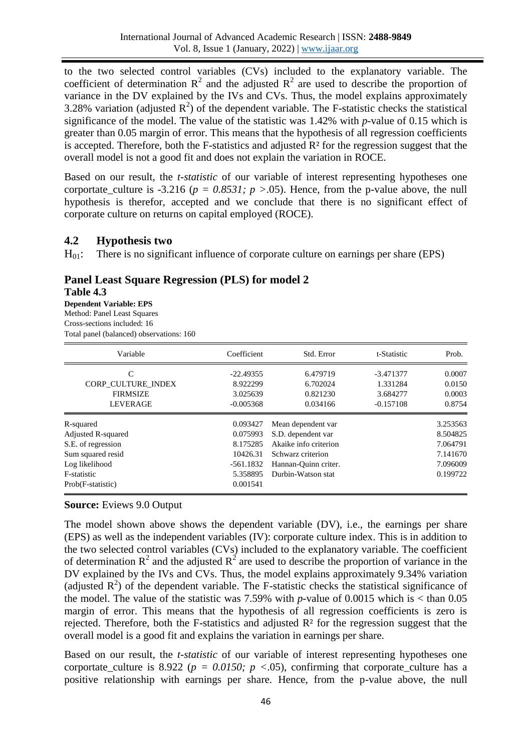to the two selected control variables (CVs) included to the explanatory variable. The coefficient of determination  $\mathbb{R}^2$  and the adjusted  $\mathbb{R}^2$  are used to describe the proportion of variance in the DV explained by the IVs and CVs. Thus, the model explains approximately 3.28% variation (adjusted  $R^2$ ) of the dependent variable. The F-statistic checks the statistical significance of the model. The value of the statistic was 1.42% with *p*-value of 0.15 which is greater than 0.05 margin of error. This means that the hypothesis of all regression coefficients is accepted. Therefore, both the F-statistics and adjusted  $\mathbb{R}^2$  for the regression suggest that the overall model is not a good fit and does not explain the variation in ROCE.

Based on our result, the *t-statistic* of our variable of interest representing hypotheses one corportate\_culture is -3.216 ( $p = 0.8531$ ;  $p > 0.05$ ). Hence, from the p-value above, the null hypothesis is therefor, accepted and we conclude that there is no significant effect of corporate culture on returns on capital employed (ROCE).

#### **4.2 Hypothesis two**

 $H_{01}$ : There is no significant influence of corporate culture on earnings per share (EPS)

# **Panel Least Square Regression (PLS) for model 2**

**Table 4.3**

**Dependent Variable: EPS** Method: Panel Least Squares Cross-sections included: 16 Total panel (balanced) observations: 160

| Variable                  | Coefficient | Std. Error            | t-Statistic | Prob.    |
|---------------------------|-------------|-----------------------|-------------|----------|
| C                         | $-22.49355$ | 6.479719              | -3.471377   | 0.0007   |
| <b>CORP CULTURE INDEX</b> | 8.922299    | 6.702024              | 1.331284    | 0.0150   |
| <b>FIRMSIZE</b>           | 3.025639    | 0.821230              | 3.684277    | 0.0003   |
| <b>LEVERAGE</b>           | $-0.005368$ | 0.034166              | $-0.157108$ | 0.8754   |
| R-squared                 | 0.093427    | Mean dependent var    |             | 3.253563 |
| Adjusted R-squared        | 0.075993    | S.D. dependent var    |             | 8.504825 |
| S.E. of regression        | 8.175285    | Akaike info criterion |             | 7.064791 |
| Sum squared resid         | 10426.31    | Schwarz criterion     |             | 7.141670 |
| Log likelihood            | $-561.1832$ | Hannan-Quinn criter.  |             | 7.096009 |
| F-statistic               | 5.358895    | Durbin-Watson stat    |             | 0.199722 |
| Prob(F-statistic)         | 0.001541    |                       |             |          |

#### **Source:** Eviews 9.0 Output

The model shown above shows the dependent variable (DV), i.e., the earnings per share (EPS) as well as the independent variables (IV): corporate culture index. This is in addition to the two selected control variables (CVs) included to the explanatory variable. The coefficient of determination  $\mathbb{R}^2$  and the adjusted  $\mathbb{R}^2$  are used to describe the proportion of variance in the DV explained by the IVs and CVs. Thus, the model explains approximately 9.34% variation (adjusted  $R^2$ ) of the dependent variable. The F-statistic checks the statistical significance of the model. The value of the statistic was 7.59% with *p*-value of 0.0015 which is  $\lt$  than 0.05 margin of error. This means that the hypothesis of all regression coefficients is zero is rejected. Therefore, both the F-statistics and adjusted  $\mathbb{R}^2$  for the regression suggest that the overall model is a good fit and explains the variation in earnings per share.

Based on our result, the *t-statistic* of our variable of interest representing hypotheses one corportate\_culture is  $8.922$  ( $p = 0.0150$ ;  $p < .05$ ), confirming that corporate\_culture has a positive relationship with earnings per share. Hence, from the p-value above, the null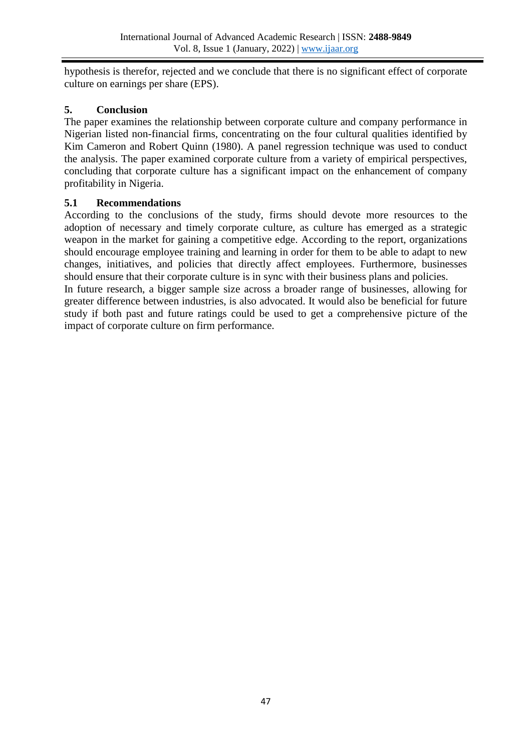hypothesis is therefor, rejected and we conclude that there is no significant effect of corporate culture on earnings per share (EPS).

# **5. Conclusion**

The paper examines the relationship between corporate culture and company performance in Nigerian listed non-financial firms, concentrating on the four cultural qualities identified by Kim Cameron and Robert Quinn (1980). A panel regression technique was used to conduct the analysis. The paper examined corporate culture from a variety of empirical perspectives, concluding that corporate culture has a significant impact on the enhancement of company profitability in Nigeria.

# **5.1 Recommendations**

According to the conclusions of the study, firms should devote more resources to the adoption of necessary and timely corporate culture, as culture has emerged as a strategic weapon in the market for gaining a competitive edge. According to the report, organizations should encourage employee training and learning in order for them to be able to adapt to new changes, initiatives, and policies that directly affect employees. Furthermore, businesses should ensure that their corporate culture is in sync with their business plans and policies.

In future research, a bigger sample size across a broader range of businesses, allowing for greater difference between industries, is also advocated. It would also be beneficial for future study if both past and future ratings could be used to get a comprehensive picture of the impact of corporate culture on firm performance.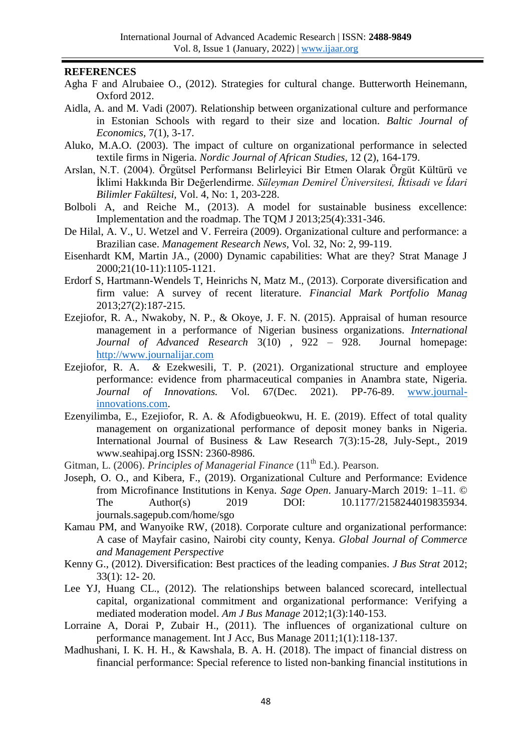#### **REFERENCES**

- Agha F and Alrubaiee O., (2012). Strategies for cultural change. Butterworth Heinemann, Oxford 2012.
- Aidla, A. and M. Vadi (2007). Relationship between organizational culture and performance in Estonian Schools with regard to their size and location. *Baltic Journal of Economics,* 7(1), 3-17.
- Aluko, M.A.O. (2003). The impact of culture on organizational performance in selected textile firms in Nigeria. *Nordic Journal of African Studies,* 12 (2), 164-179.
- Arslan, N.T. (2004). Örgütsel Performansı Belirleyici Bir Etmen Olarak Örgüt Kültürü ve İklimi Hakkında Bir Değerlendirme. *Süleyman Demirel Üniversitesi, İktisadi ve İdari Bilimler Fakültesi,* Vol. 4, No: 1, 203-228.
- Bolboli A, and Reiche M., (2013). A model for sustainable business excellence: Implementation and the roadmap. The TQM J 2013;25(4):331-346.
- De Hilal, A. V., U. Wetzel and V. Ferreira (2009). Organizational culture and performance: a Brazilian case. *Management Research News,* Vol. 32, No: 2, 99-119.
- Eisenhardt KM, Martin JA., (2000) Dynamic capabilities: What are they? Strat Manage J 2000;21(10-11):1105-1121.
- Erdorf S, Hartmann-Wendels T, Heinrichs N, Matz M., (2013). Corporate diversification and firm value: A survey of recent literature. *Financial Mark Portfolio Manag* 2013;27(2):187-215.
- Ezejiofor, R. A., Nwakoby, N. P., & Okoye, J. F. N. (2015). Appraisal of human resource management in a performance of Nigerian business organizations. *International Journal of Advanced Research* 3(10) , 922 – 928. Journal homepage: [http://www.journalijar.com](http://www.journalijar.com/)
- Ezejiofor, R. A. *&* Ezekwesili, T. P. (2021). Organizational structure and employee performance: evidence from pharmaceutical companies in Anambra state, Nigeria. *Journal of Innovations.* Vol. 67(Dec. 2021). PP-76-89. [www.journal](http://www.journal-innovations.com/)[innovations.com.](http://www.journal-innovations.com/)
- Ezenyilimba, E., Ezejiofor, R. A. & Afodigbueokwu, H. E. (2019). Effect of total quality management on organizational performance of deposit money banks in Nigeria. International Journal of Business & Law Research 7(3):15-28, July-Sept., 2019 www.seahipaj.org ISSN: 2360-8986.
- Gitman, L. (2006). *Principles of Managerial Finance* (11<sup>th</sup> Ed.). Pearson.
- Joseph, O. O., and Kibera, F., (2019). Organizational Culture and Performance: Evidence from Microfinance Institutions in Kenya. *Sage Open*. January-March 2019: 1–11. © The Author(s) 2019 DOI: 10.1177/2158244019835934. journals.sagepub.com/home/sgo
- Kamau PM, and Wanyoike RW, (2018). Corporate culture and organizational performance: A case of Mayfair casino, Nairobi city county, Kenya. *Global Journal of Commerce and Management Perspective*
- Kenny G., (2012). Diversification: Best practices of the leading companies. *J Bus Strat* 2012; 33(1): 12- 20.
- Lee YJ, Huang CL., (2012). The relationships between balanced scorecard, intellectual capital, organizational commitment and organizational performance: Verifying a mediated moderation model. *Am J Bus Manage* 2012;1(3):140-153.
- Lorraine A, Dorai P, Zubair H., (2011). The influences of organizational culture on performance management. Int J Acc, Bus Manage 2011;1(1):118-137.
- Madhushani, I. K. H. H., & Kawshala, B. A. H. (2018). The impact of financial distress on financial performance: Special reference to listed non-banking financial institutions in